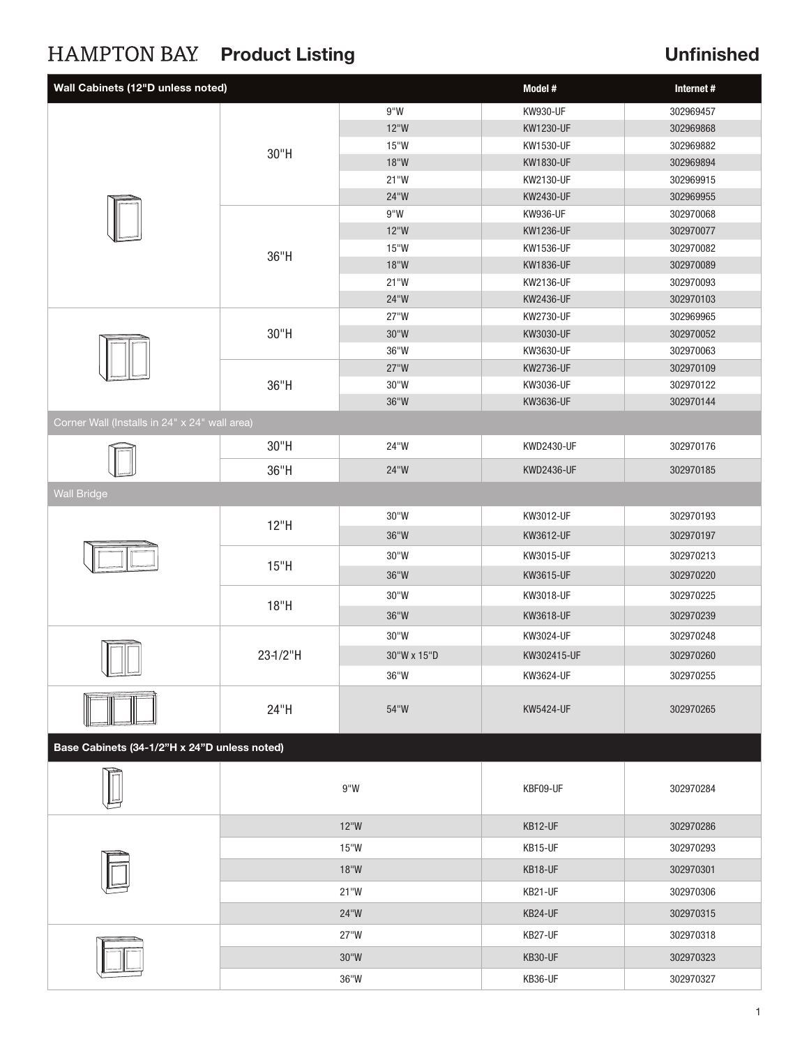# HAMPTON BAY Product Listing The Contract Contract Unfinished

| Wall Cabinets (12"D unless noted)             |                | Model #        | Internet #        |           |  |  |  |
|-----------------------------------------------|----------------|----------------|-------------------|-----------|--|--|--|
|                                               |                | 9"W            | KW930-UF          | 302969457 |  |  |  |
|                                               |                | $12^{\circ}W$  | KW1230-UF         | 302969868 |  |  |  |
|                                               |                | 15"W           | KW1530-UF         | 302969882 |  |  |  |
|                                               | 30"H           | 18"W           | KW1830-UF         | 302969894 |  |  |  |
|                                               |                | 21"W           | KW2130-UF         | 302969915 |  |  |  |
|                                               |                | 24"W           | KW2430-UF         | 302969955 |  |  |  |
|                                               | 36"H           | 9''W           | KW936-UF          | 302970068 |  |  |  |
|                                               |                | 12"W           | KW1236-UF         | 302970077 |  |  |  |
|                                               |                | 15"W           | KW1536-UF         | 302970082 |  |  |  |
|                                               |                | 18"W           | KW1836-UF         | 302970089 |  |  |  |
|                                               |                | 21"W           | KW2136-UF         | 302970093 |  |  |  |
|                                               |                | 24"W           | KW2436-UF         | 302970103 |  |  |  |
|                                               | 30"H           | 27"W           | KW2730-UF         | 302969965 |  |  |  |
|                                               |                | $30^{\circ}$ W | KW3030-UF         | 302970052 |  |  |  |
|                                               |                | 36"W           | KW3630-UF         | 302970063 |  |  |  |
|                                               |                | 27"W           | KW2736-UF         | 302970109 |  |  |  |
|                                               | 36"H           | 30"W           | KW3036-UF         | 302970122 |  |  |  |
|                                               |                | 36"W           | KW3636-UF         | 302970144 |  |  |  |
| Corner Wall (Installs in 24" x 24" wall area) |                |                |                   |           |  |  |  |
|                                               | 30"H           | 24"W           | KWD2430-UF        | 302970176 |  |  |  |
|                                               | 36"H           | 24"W           | <b>KWD2436-UF</b> | 302970185 |  |  |  |
| <b>Wall Bridge</b>                            |                |                |                   |           |  |  |  |
|                                               | 12"H           | 30"W           | KW3012-UF         | 302970193 |  |  |  |
|                                               |                | $36"W$         | KW3612-UF         | 302970197 |  |  |  |
|                                               | 15"H           | 30"W           | KW3015-UF         | 302970213 |  |  |  |
|                                               |                | $36"W$         | KW3615-UF         | 302970220 |  |  |  |
|                                               |                | 30"W           | KW3018-UF         | 302970225 |  |  |  |
|                                               | 18"H           |                |                   |           |  |  |  |
|                                               |                | 36"W           | KW3618-UF         | 302970239 |  |  |  |
|                                               | 23-1/2"H       | 30"W           | KW3024-UF         | 302970248 |  |  |  |
|                                               |                | 30"W x 15"D    | KW302415-UF       | 302970260 |  |  |  |
| VUU                                           |                | 36"W           | KW3624-UF         | 302970255 |  |  |  |
|                                               | 24"H           | 54"W           | <b>KW5424-UF</b>  | 302970265 |  |  |  |
| Base Cabinets (34-1/2"H x 24"D unless noted)  |                |                |                   |           |  |  |  |
|                                               | 9''W           |                | KBF09-UF          | 302970284 |  |  |  |
|                                               | 12"W           |                | KB12-UF           | 302970286 |  |  |  |
|                                               | 15"W           |                | KB15-UF           | 302970293 |  |  |  |
|                                               | 18"W           |                | KB18-UF           | 302970301 |  |  |  |
|                                               | 21"W           |                | KB21-UF           | 302970306 |  |  |  |
|                                               | 24"W           |                | KB24-UF           | 302970315 |  |  |  |
|                                               | 27"W           |                | KB27-UF           | 302970318 |  |  |  |
|                                               | $30^{\circ}$ W |                | KB30-UF           | 302970323 |  |  |  |
|                                               |                | 36"W           | KB36-UF           | 302970327 |  |  |  |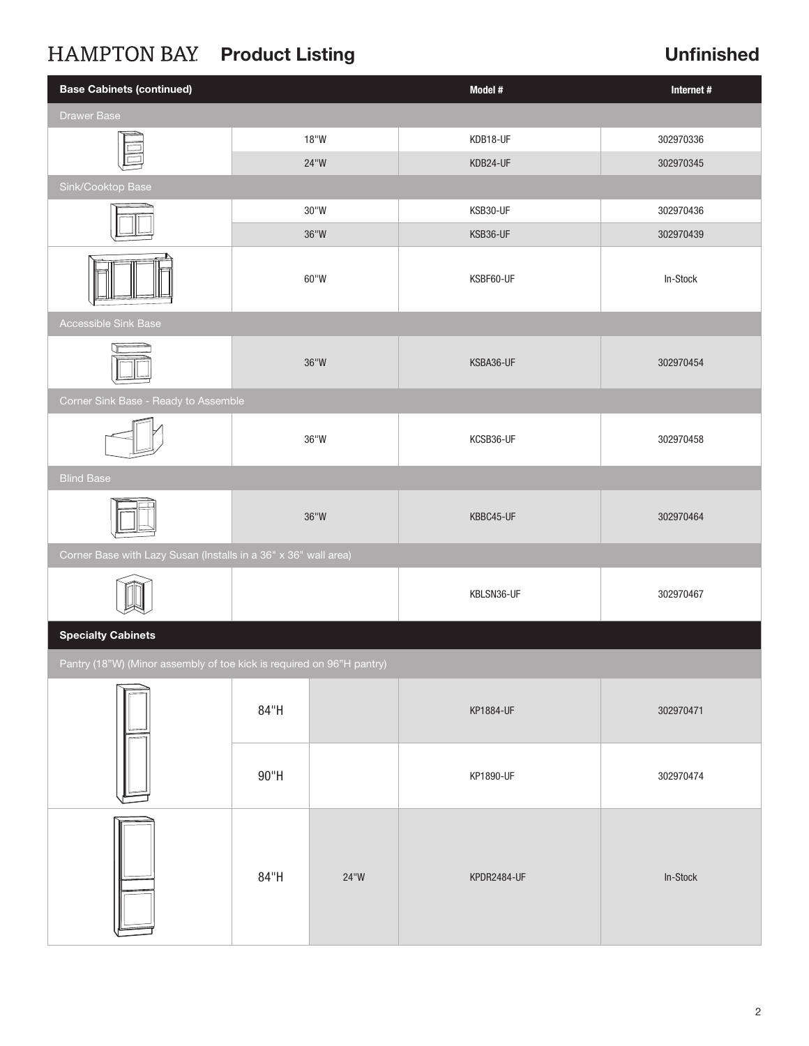# HAMPTON BAY Product Listing The Contract Contract Unfinished

| <b>Base Cabinets (continued)</b>                                      |                | Model #        | Internet#   |           |  |  |  |  |
|-----------------------------------------------------------------------|----------------|----------------|-------------|-----------|--|--|--|--|
| <b>Drawer Base</b>                                                    |                |                |             |           |  |  |  |  |
|                                                                       |                | $18"W$         | KDB18-UF    | 302970336 |  |  |  |  |
|                                                                       |                | 24"W           | KDB24-UF    | 302970345 |  |  |  |  |
| Sink/Cooktop Base                                                     |                |                |             |           |  |  |  |  |
|                                                                       | $30^{\circ}$ W |                | KSB30-UF    | 302970436 |  |  |  |  |
|                                                                       |                | $36^{\circ}$ W | KSB36-UF    | 302970439 |  |  |  |  |
|                                                                       |                | 60"W           | KSBF60-UF   | In-Stock  |  |  |  |  |
| Accessible Sink Base                                                  |                |                |             |           |  |  |  |  |
|                                                                       | $36^{\circ}$ W |                | KSBA36-UF   | 302970454 |  |  |  |  |
| Corner Sink Base - Ready to Assemble                                  |                |                |             |           |  |  |  |  |
|                                                                       | $36^{\circ}$ W |                | KCSB36-UF   | 302970458 |  |  |  |  |
| <b>Blind Base</b>                                                     |                |                |             |           |  |  |  |  |
|                                                                       | $36^{\circ}$ W |                | KBBC45-UF   | 302970464 |  |  |  |  |
| Corner Base with Lazy Susan (Installs in a 36" x 36" wall area)       |                |                |             |           |  |  |  |  |
|                                                                       |                |                | KBLSN36-UF  | 302970467 |  |  |  |  |
| <b>Specialty Cabinets</b>                                             |                |                |             |           |  |  |  |  |
| Pantry (18"W) (Minor assembly of toe kick is required on 96"H pantry) |                |                |             |           |  |  |  |  |
|                                                                       | 84"H           |                | KP1884-UF   | 302970471 |  |  |  |  |
|                                                                       | $90"$ H        |                | KP1890-UF   | 302970474 |  |  |  |  |
|                                                                       | 84"H           | $24^{\circ}$   | KPDR2484-UF | In-Stock  |  |  |  |  |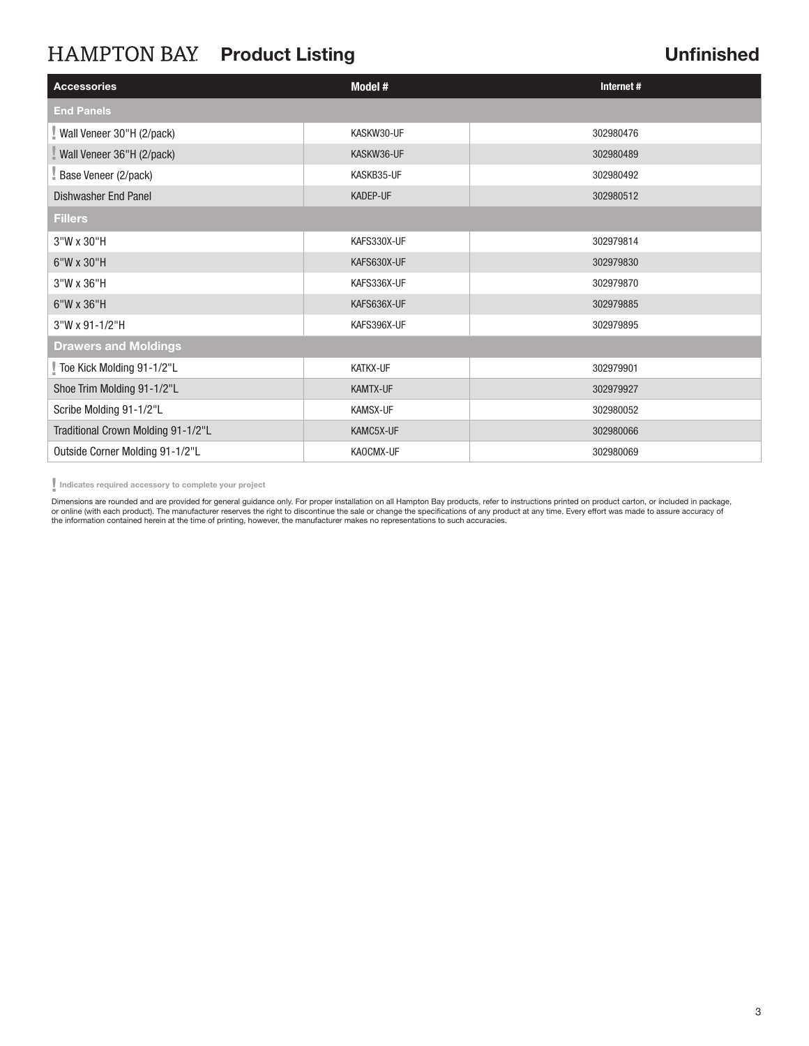## HAMPTON BAY Product Listing

### Unfinished

| <b>Accessories</b>                 | Model #         | Internet# |  |  |  |  |
|------------------------------------|-----------------|-----------|--|--|--|--|
| <b>End Panels</b>                  |                 |           |  |  |  |  |
| Wall Veneer 30"H (2/pack)          | KASKW30-UF      | 302980476 |  |  |  |  |
| Wall Veneer 36"H (2/pack)          | KASKW36-UF      | 302980489 |  |  |  |  |
| Base Veneer (2/pack)               | KASKB35-UF      | 302980492 |  |  |  |  |
| <b>Dishwasher End Panel</b>        | <b>KADEP-UF</b> | 302980512 |  |  |  |  |
| <b>Fillers</b>                     |                 |           |  |  |  |  |
| 3"W x 30"H                         | KAFS330X-UF     | 302979814 |  |  |  |  |
| 6"W x 30"H                         | KAFS630X-UF     | 302979830 |  |  |  |  |
| 3"W x 36"H                         | KAFS336X-UF     | 302979870 |  |  |  |  |
| 6"W x 36"H                         | KAFS636X-UF     | 302979885 |  |  |  |  |
| 3"W x 91-1/2"H                     | KAFS396X-UF     | 302979895 |  |  |  |  |
| <b>Drawers and Moldings</b>        |                 |           |  |  |  |  |
| Toe Kick Molding 91-1/2"L          | KATKX-UF        | 302979901 |  |  |  |  |
| Shoe Trim Molding 91-1/2"L         | KAMTX-UF        | 302979927 |  |  |  |  |
| Scribe Molding 91-1/2"L            | KAMSX-UF        | 302980052 |  |  |  |  |
| Traditional Crown Molding 91-1/2"L | KAMC5X-UF       | 302980066 |  |  |  |  |
| Outside Corner Molding 91-1/2"L    | KAOCMX-UF       | 302980069 |  |  |  |  |

Indicates required accessory to complete your project

Dimensions are rounded and are provided for general guidance only. For proper installation on all Hampton Bay products, refer to instructions printed on product carton, or included in package, or online (with each product). The manufacturer reserves the right to discontinue the sale or change the specifications of any product at any time. Every effort was made to assure accuracy of the information contained herein at the time of printing, however, the manufacturer makes no representations to such accuracies.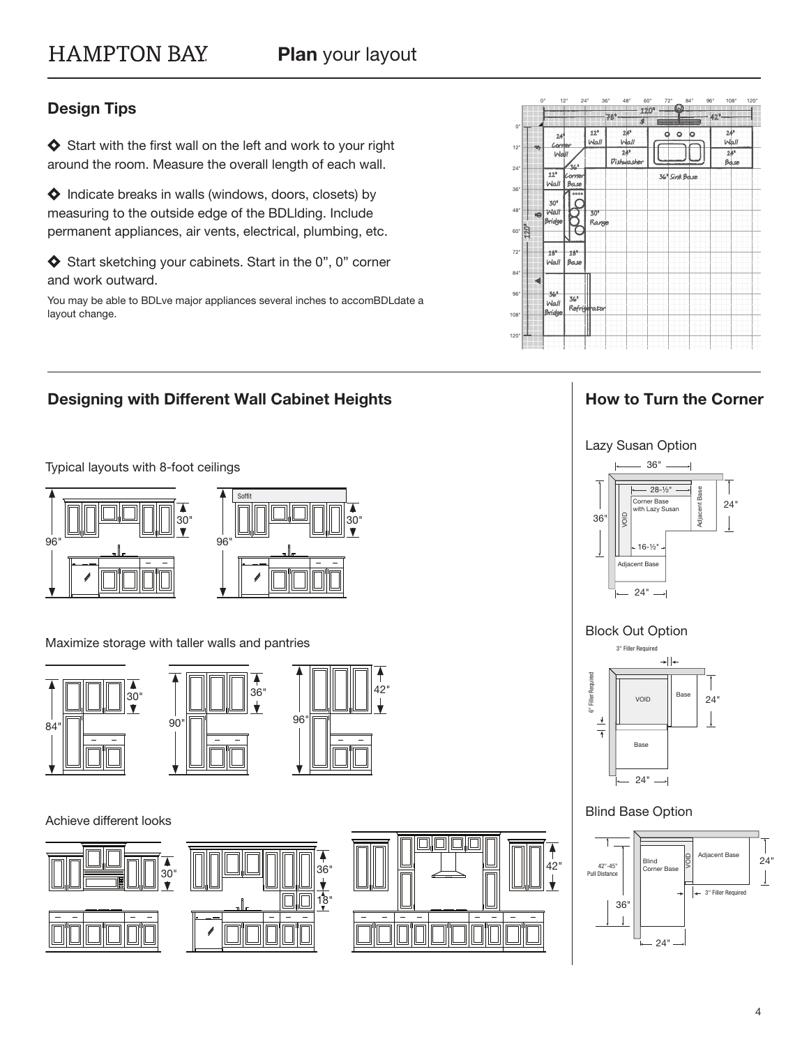### Design Tips

 $\blacklozenge$  Start with the first wall on the left and work to your right around the room. Measure the overall length of each wall.

 $\blacklozenge$  Indicate breaks in walls (windows, doors, closets) by measuring to the outside edge of the BDLlding. Include permanent appliances, air vents, electrical, plumbing, etc.

Start sketching your cabinets. Start in the 0", 0" corner and work outward.

Designing with Different Wall Cabinet Heights

You may be able to BDLve major appliances several inches to accomBDLdate a layout change.



#### How to Turn the Corner

Typical layouts with 8-foot ceilings



Maximize storage with taller walls and pantries







#### Achieve different looks





Lazy Susan Option



#### Blind Base Option

 $24^{\circ}$   $\longrightarrow$